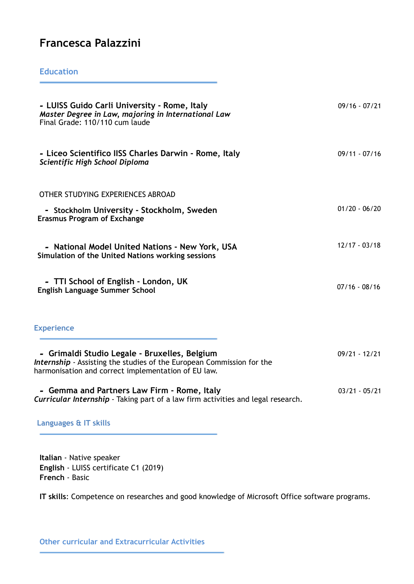## **Francesca Palazzini**

## **Education**

| - LUISS Guido Carli University - Rome, Italy<br>Master Degree in Law, majoring in International Law<br>Final Grade: 110/110 cum laude                                         | $09/16 - 07/21$ |
|-------------------------------------------------------------------------------------------------------------------------------------------------------------------------------|-----------------|
| - Liceo Scientifico IISS Charles Darwin - Rome, Italy<br>Scientific High School Diploma                                                                                       | $09/11 - 07/16$ |
| OTHER STUDYING EXPERIENCES ABROAD                                                                                                                                             |                 |
| - Stockholm University - Stockholm, Sweden<br><b>Erasmus Program of Exchange</b>                                                                                              | $01/20 - 06/20$ |
| - National Model United Nations - New York, USA<br>Simulation of the United Nations working sessions                                                                          | $12/17 - 03/18$ |
| - TTI School of English - London, UK<br><b>English Language Summer School</b>                                                                                                 | $07/16 - 08/16$ |
| <b>Experience</b>                                                                                                                                                             |                 |
| - Grimaldi Studio Legale - Bruxelles, Belgium<br>Internship - Assisting the studies of the European Commission for the<br>harmonisation and correct implementation of EU law. | $09/21 - 12/21$ |
| - Gemma and Partners Law Firm - Rome, Italy<br>Curricular Internship - Taking part of a law firm activities and legal research.                                               | $03/21 - 05/21$ |

**Languages & IT skills**

**Italian** - Native speaker **English** - LUISS certificate C1 (2019) **French** - Basic

**IT skills**: Competence on researches and good knowledge of Microsoft Office software programs.

**Other curricular and Extracurricular Activities**